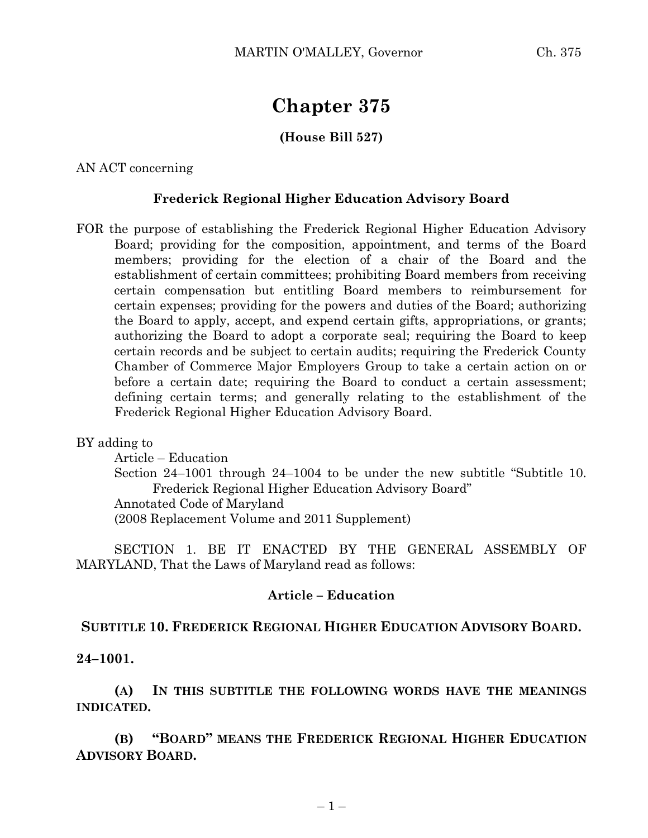# **Chapter 375**

## **(House Bill 527)**

AN ACT concerning

### **Frederick Regional Higher Education Advisory Board**

FOR the purpose of establishing the Frederick Regional Higher Education Advisory Board; providing for the composition, appointment, and terms of the Board members; providing for the election of a chair of the Board and the establishment of certain committees; prohibiting Board members from receiving certain compensation but entitling Board members to reimbursement for certain expenses; providing for the powers and duties of the Board; authorizing the Board to apply, accept, and expend certain gifts, appropriations, or grants; authorizing the Board to adopt a corporate seal; requiring the Board to keep certain records and be subject to certain audits; requiring the Frederick County Chamber of Commerce Major Employers Group to take a certain action on or before a certain date; requiring the Board to conduct a certain assessment; defining certain terms; and generally relating to the establishment of the Frederick Regional Higher Education Advisory Board.

BY adding to

Article – Education Section 24–1001 through 24–1004 to be under the new subtitle "Subtitle 10. Frederick Regional Higher Education Advisory Board" Annotated Code of Maryland (2008 Replacement Volume and 2011 Supplement)

SECTION 1. BE IT ENACTED BY THE GENERAL ASSEMBLY OF MARYLAND, That the Laws of Maryland read as follows:

#### **Article – Education**

#### **SUBTITLE 10. FREDERICK REGIONAL HIGHER EDUCATION ADVISORY BOARD.**

**24–1001.**

**(A) IN THIS SUBTITLE THE FOLLOWING WORDS HAVE THE MEANINGS INDICATED.**

**(B) "BOARD" MEANS THE FREDERICK REGIONAL HIGHER EDUCATION ADVISORY BOARD.**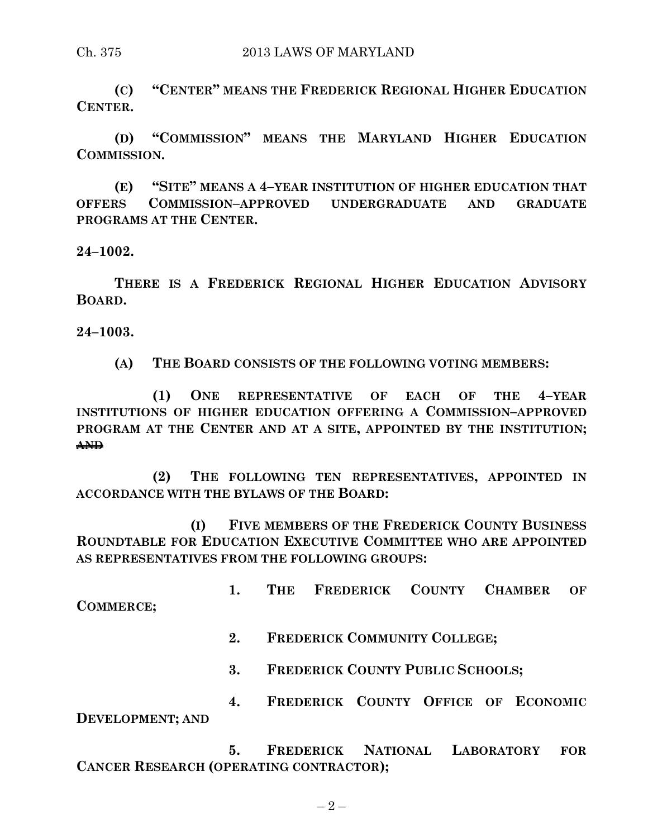**(C) "CENTER" MEANS THE FREDERICK REGIONAL HIGHER EDUCATION CENTER.**

**(D) "COMMISSION" MEANS THE MARYLAND HIGHER EDUCATION COMMISSION.**

**(E) "SITE" MEANS A 4–YEAR INSTITUTION OF HIGHER EDUCATION THAT OFFERS COMMISSION–APPROVED UNDERGRADUATE AND GRADUATE PROGRAMS AT THE CENTER.**

**24–1002.**

**THERE IS A FREDERICK REGIONAL HIGHER EDUCATION ADVISORY BOARD.**

**24–1003.**

**(A) THE BOARD CONSISTS OF THE FOLLOWING VOTING MEMBERS:**

**(1) ONE REPRESENTATIVE OF EACH OF THE 4–YEAR INSTITUTIONS OF HIGHER EDUCATION OFFERING A COMMISSION–APPROVED PROGRAM AT THE CENTER AND AT A SITE, APPOINTED BY THE INSTITUTION; AND**

**(2) THE FOLLOWING TEN REPRESENTATIVES, APPOINTED IN ACCORDANCE WITH THE BYLAWS OF THE BOARD:**

**(I) FIVE MEMBERS OF THE FREDERICK COUNTY BUSINESS ROUNDTABLE FOR EDUCATION EXECUTIVE COMMITTEE WHO ARE APPOINTED AS REPRESENTATIVES FROM THE FOLLOWING GROUPS:**

**1. THE FREDERICK COUNTY CHAMBER OF COMMERCE;**

**2. FREDERICK COMMUNITY COLLEGE;**

**3. FREDERICK COUNTY PUBLIC SCHOOLS;**

**4. FREDERICK COUNTY OFFICE OF ECONOMIC DEVELOPMENT; AND**

**5. FREDERICK NATIONAL LABORATORY FOR CANCER RESEARCH (OPERATING CONTRACTOR);**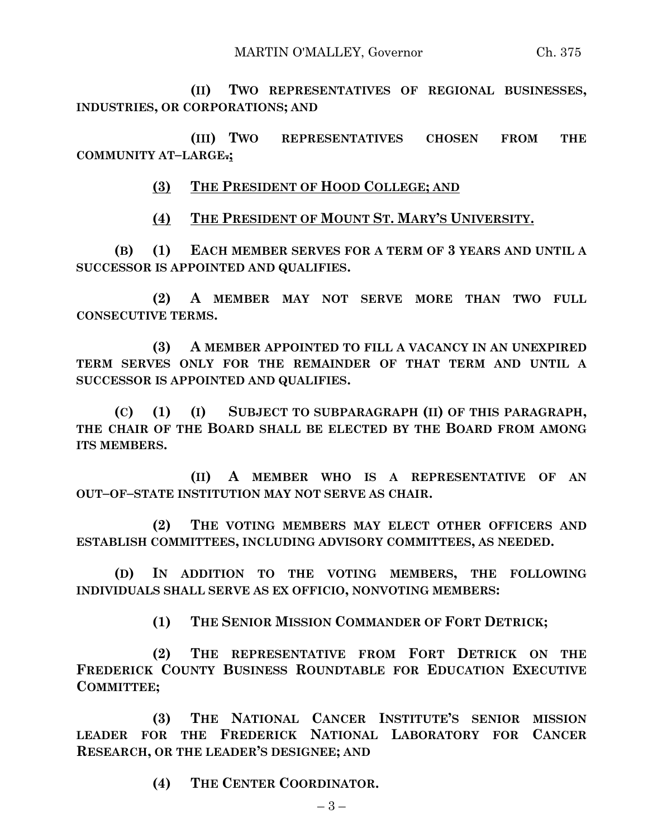**(II) TWO REPRESENTATIVES OF REGIONAL BUSINESSES, INDUSTRIES, OR CORPORATIONS; AND**

**(III) TWO REPRESENTATIVES CHOSEN FROM THE COMMUNITY AT–LARGE.;**

**(3) THE PRESIDENT OF HOOD COLLEGE; AND**

**(4) THE PRESIDENT OF MOUNT ST. MARY'S UNIVERSITY.**

**(B) (1) EACH MEMBER SERVES FOR A TERM OF 3 YEARS AND UNTIL A SUCCESSOR IS APPOINTED AND QUALIFIES.**

**(2) A MEMBER MAY NOT SERVE MORE THAN TWO FULL CONSECUTIVE TERMS.**

**(3) A MEMBER APPOINTED TO FILL A VACANCY IN AN UNEXPIRED TERM SERVES ONLY FOR THE REMAINDER OF THAT TERM AND UNTIL A SUCCESSOR IS APPOINTED AND QUALIFIES.**

**(C) (1) (I) SUBJECT TO SUBPARAGRAPH (II) OF THIS PARAGRAPH, THE CHAIR OF THE BOARD SHALL BE ELECTED BY THE BOARD FROM AMONG ITS MEMBERS.**

**(II) A MEMBER WHO IS A REPRESENTATIVE OF AN OUT–OF–STATE INSTITUTION MAY NOT SERVE AS CHAIR.**

**(2) THE VOTING MEMBERS MAY ELECT OTHER OFFICERS AND ESTABLISH COMMITTEES, INCLUDING ADVISORY COMMITTEES, AS NEEDED.**

**(D) IN ADDITION TO THE VOTING MEMBERS, THE FOLLOWING INDIVIDUALS SHALL SERVE AS EX OFFICIO, NONVOTING MEMBERS:**

**(1) THE SENIOR MISSION COMMANDER OF FORT DETRICK;**

**(2) THE REPRESENTATIVE FROM FORT DETRICK ON THE FREDERICK COUNTY BUSINESS ROUNDTABLE FOR EDUCATION EXECUTIVE COMMITTEE;**

**(3) THE NATIONAL CANCER INSTITUTE'S SENIOR MISSION LEADER FOR THE FREDERICK NATIONAL LABORATORY FOR CANCER RESEARCH, OR THE LEADER'S DESIGNEE; AND**

**(4) THE CENTER COORDINATOR.**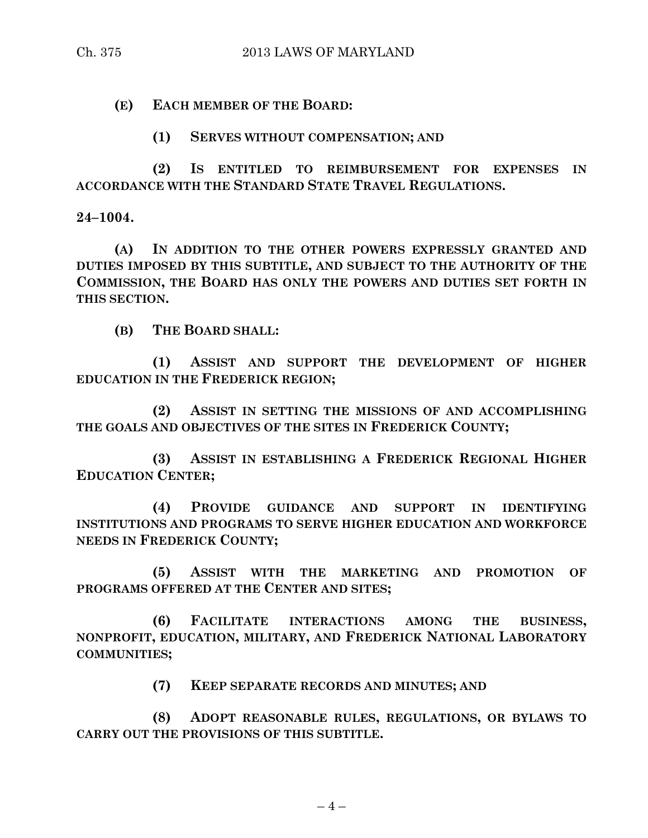**(E) EACH MEMBER OF THE BOARD:**

**(1) SERVES WITHOUT COMPENSATION; AND**

**(2) IS ENTITLED TO REIMBURSEMENT FOR EXPENSES IN ACCORDANCE WITH THE STANDARD STATE TRAVEL REGULATIONS.**

**24–1004.**

**(A) IN ADDITION TO THE OTHER POWERS EXPRESSLY GRANTED AND DUTIES IMPOSED BY THIS SUBTITLE, AND SUBJECT TO THE AUTHORITY OF THE COMMISSION, THE BOARD HAS ONLY THE POWERS AND DUTIES SET FORTH IN THIS SECTION.**

**(B) THE BOARD SHALL:**

**(1) ASSIST AND SUPPORT THE DEVELOPMENT OF HIGHER EDUCATION IN THE FREDERICK REGION;**

**(2) ASSIST IN SETTING THE MISSIONS OF AND ACCOMPLISHING THE GOALS AND OBJECTIVES OF THE SITES IN FREDERICK COUNTY;**

**(3) ASSIST IN ESTABLISHING A FREDERICK REGIONAL HIGHER EDUCATION CENTER;**

**(4) PROVIDE GUIDANCE AND SUPPORT IN IDENTIFYING INSTITUTIONS AND PROGRAMS TO SERVE HIGHER EDUCATION AND WORKFORCE NEEDS IN FREDERICK COUNTY;**

**(5) ASSIST WITH THE MARKETING AND PROMOTION OF PROGRAMS OFFERED AT THE CENTER AND SITES;**

**(6) FACILITATE INTERACTIONS AMONG THE BUSINESS, NONPROFIT, EDUCATION, MILITARY, AND FREDERICK NATIONAL LABORATORY COMMUNITIES;**

**(7) KEEP SEPARATE RECORDS AND MINUTES; AND**

**(8) ADOPT REASONABLE RULES, REGULATIONS, OR BYLAWS TO CARRY OUT THE PROVISIONS OF THIS SUBTITLE.**